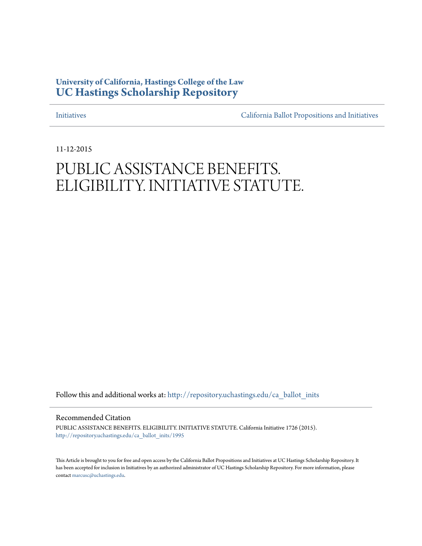## **University of California, Hastings College of the Law [UC Hastings Scholarship Repository](http://repository.uchastings.edu?utm_source=repository.uchastings.edu%2Fca_ballot_inits%2F1995&utm_medium=PDF&utm_campaign=PDFCoverPages)**

[Initiatives](http://repository.uchastings.edu/ca_ballot_inits?utm_source=repository.uchastings.edu%2Fca_ballot_inits%2F1995&utm_medium=PDF&utm_campaign=PDFCoverPages) [California Ballot Propositions and Initiatives](http://repository.uchastings.edu/ca_ballots?utm_source=repository.uchastings.edu%2Fca_ballot_inits%2F1995&utm_medium=PDF&utm_campaign=PDFCoverPages)

11-12-2015

## PUBLIC ASSISTANCE BENEFITS. ELIGIBILITY. INITIATIVE STATUTE.

Follow this and additional works at: [http://repository.uchastings.edu/ca\\_ballot\\_inits](http://repository.uchastings.edu/ca_ballot_inits?utm_source=repository.uchastings.edu%2Fca_ballot_inits%2F1995&utm_medium=PDF&utm_campaign=PDFCoverPages)

Recommended Citation

PUBLIC ASSISTANCE BENEFITS. ELIGIBILITY. INITIATIVE STATUTE. California Initiative 1726 (2015). [http://repository.uchastings.edu/ca\\_ballot\\_inits/1995](http://repository.uchastings.edu/ca_ballot_inits/1995?utm_source=repository.uchastings.edu%2Fca_ballot_inits%2F1995&utm_medium=PDF&utm_campaign=PDFCoverPages)

This Article is brought to you for free and open access by the California Ballot Propositions and Initiatives at UC Hastings Scholarship Repository. It has been accepted for inclusion in Initiatives by an authorized administrator of UC Hastings Scholarship Repository. For more information, please contact [marcusc@uchastings.edu](mailto:marcusc@uchastings.edu).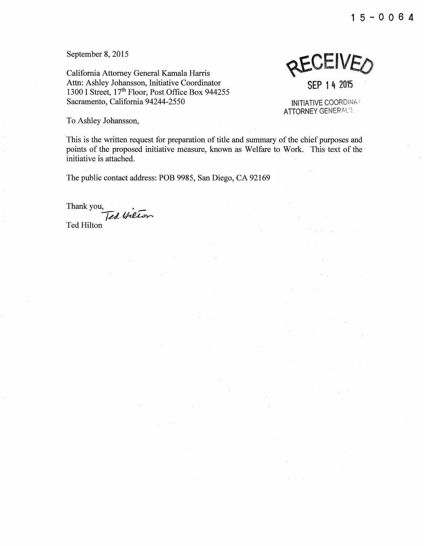$15 - 0064$ 

September 8, 2015

California Attorney General Kamala Harris Attn: Ashley Johansson, Initiative Coordinator 1300 I Street, 17<sup>th</sup> Floor, Post Office Box 944255 Sacramento, California 94244-2550

SEP 1 4 2015

INITIATIVE COORDINAT ATTORNEY GENERAL'S

To Ashley Johansson,

This is the written request for preparation of title and summary of the chief purposes and points of the proposed initiative measure, known as Welfare to Work. This text of the initiative is attached.

The public contact address: POB 9985, San Diego, CA 92169

Thank you,

Ted Helton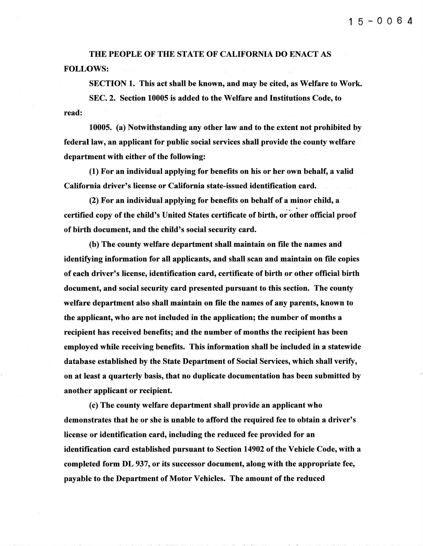THE PEOPLE OF THE STATE OF CALIFORNIA DO ENACT AS FOLLOWS:

SECTION 1. This act shall be known, and may be cited, as Welfare to Work.

SEC. 2. Section 10005 is added to the Welfare and Institutions Code; to read:

10005. (a) Notwithstanding any other law and to the extent not prohibited by federal law, an applicant for public social services shall provide the county welfare department with either of the following:

(1) For an individual applying for benefits on his or her own behalf, a valid California driver's license or California state-issued identification card.

(2) For an individual applying for benefits on behalf of a minor child, a<br>certified copy of the child's United States certificate of birth, or other official proof of birth document, and the child's social security card.

(b) The county welfare department shall maintain on file the names and identifying information for all applicants, and shall scan and maintain on file copies of each driver's license, identification card, certificate of birth or other official birth document, and social security card presented pursuant to this section. The county welfare department also shall maintain on file the names of any parents, known to the applicant, who are not included in the application; the number of months a recipient has received benefits; and the number of months the recipient has been employed while receiving benefits. This information shall be included in a statewide database established by the State Department of Social Services, which shall verify, on at least a quarterly basis, that no duplicate documentation has been submitted by another applicant or recipient.

(c) The county welfare department shall provide an applicant who demonstrates that he or she is unable to afford the required fee to obtain a driver's license or identification card, including the reduced fee provided for an identification card established pursuant to Section 14902 of the Vehicle Code, with a completed form DL 937, or its successor document, along with the appropriate fee, payable to the Department of Motor Vehicles. The amount of the reduced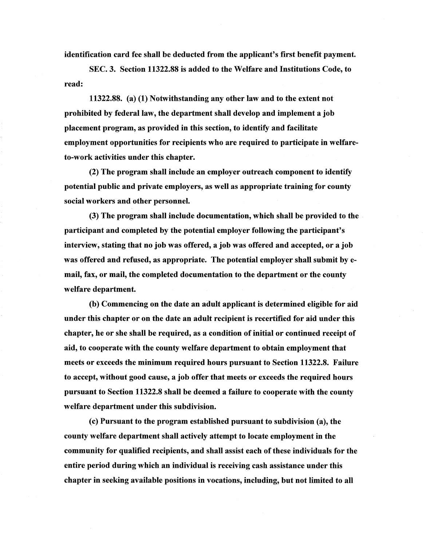identification card fee shall be deducted from the applicant's first benefit payment.

SEC. 3. Section 11322.88 is added to the Welfare and Institutions Code, to read:

11322.88. (a) (1) Notwithstanding any other law and to the extent not prohibited by federal law, the department shall develop and implement a job placement program, as provided in this section, to identify and facilitate employment opportunities for recipients who are required to participate in welfareto-work activities under this chapter.

(2) The program shall include an employer outreach component to identify potential public and private employers, as well as appropriate training for county social workers and other personnel.

(3) The program shall include documentation, which shall be provided to the participant and completed by the potential employer following the participant's interview, stating that no job was offered, a job was offered and accepted, or a job was offered and refused, as appropriate. The potential employer shall submit by email, fax, or mail, the completed documentation to the department or the county welfare department.

(b) Commencing on the date an adult applicant is determined eligible for aid under this chapter or on the date an adult recipient is recertified for aid under this chapter, he or she shall be required, as a condition of initial or continued receipt of aid, to cooperate with the county welfare department to obtain employment that meets or exceeds the minimum required hours pursuant to Section 11322.8. Failure to accept, without good cause, a job offer that meets or exceeds the required hours pursuant to Section 11322.8 shall be deemed a failure to cooperate with the county welfare department under this subdivision.

(c) Pursuant to the program established pursuant to subdivision (a), the county welfare department shall actively attempt to locate employment in the community for qualified recipients, and shall assist each of these individuals for the entire period during which an individual is receiving cash assistance under this chapter in seeking available positions in vocations, including, but not limited to all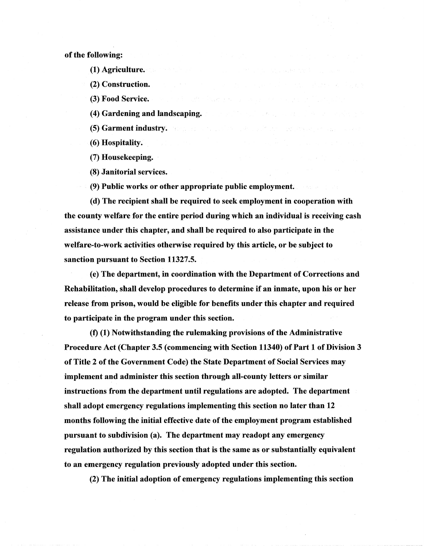of the following:

- $(1)$  Agriculture.
- (2) Construction.
- (3) Food Service.
- (4) Gardening and landscaping.
- (5) Garment industry.
- (6) Hospitality~
- (7) Housekeeping.
- (8) Janitorial services.
- . (9) Public works or other appropriate public employment ..

(d) The recipient shall be required to seek employment in cooperation with the county weHare for the entire period during which an individual is receiving cash assistance under this chapter, and shall be required to also participate in the weHare-to-work activities otherwise required by this article, or be subject to sanction pursuant to Section 11327.5.

(e) The department, in coordination with the Department of Corrections and Rehabilitation, shall develop procedures to determine if an inmate, upon his or her release from prison, would be eligible for benefits under this chapter and required to participate in the program under this section.

(f) (1) Notwithstanding the rulemaking provisions of the Administrative Procedure Act (Chapter 3.5 (commencing with Section 11340) of Part 1 of Division 3 of Title 2 of the Government Code) the State Department of Social Services may implement and administer this section through all-county letters or similar instructions from the department until regulations are adopted. The department shall adopt emergency regulations implementing this section no later than 12 months following the initial effective date of the employment program established pursuant to subdivision (a). The department may readopt any emergency regulation authorized by this section that is the same as or substantially equivalent to an emergency regulation previously adopted under this section.

(2) The initial adoption of emergency regulations implementing this section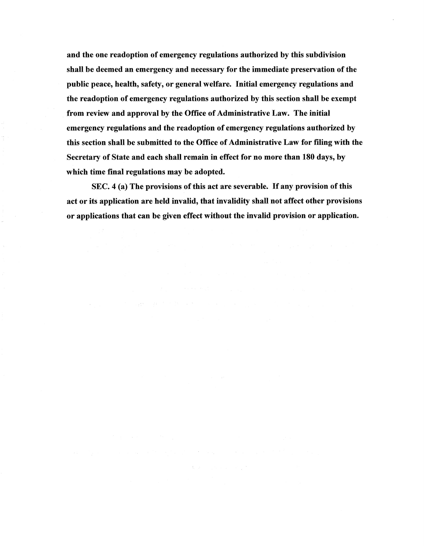and the one readoption of emergency regulations authorized by this subdivision shall be deemed an emergency and necessary for the immediate preservation of the public peace, health, safety, or general welfare. Initial emergency regulations and the readoption of emergency regulations authorized by this section shall be exempt from review and approval by the Office of Administrative Law. The initial emergency regulations and the readoption of emergency regulations authorized by this section shall be submitted to the Office of Administrative Law for filing with the Secretary of State and each shall remain in effect for no more than 180 days, by which time final regulations may be adopted.

SEC. 4 (a) The provisions of this act are severable. If any provision of this act or its application are held invalid, that invalidity shall not affect other provisions or applications that can be given effect without the invalid provision or application.

 $\sim$   $\sim$ 

 $\mathfrak{t}_1 \in \mathbb{R}^+$ 

Determination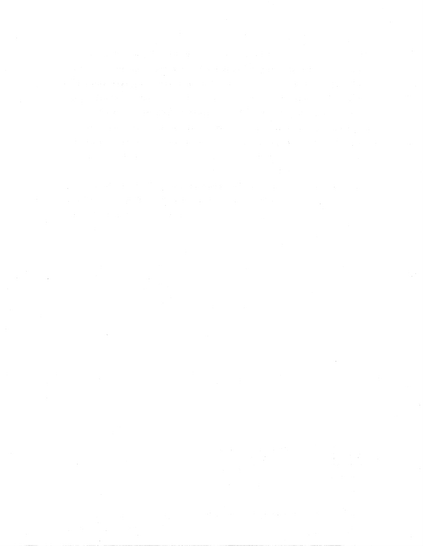$\label{eq:2.1} \mathcal{L}(\mathcal{L}(\mathcal{L})) = \mathcal{L}(\mathcal{L}(\mathcal{L})) = \mathcal{L}(\mathcal{L}(\mathcal{L})) = \mathcal{L}(\mathcal{L}(\mathcal{L})) = \mathcal{L}(\mathcal{L}(\mathcal{L}))$  $\mathcal{L}^{\text{max}}_{\text{max}}$  , where  $\mathcal{L}^{\text{max}}_{\text{max}}$  $\label{eq:2.1} \begin{split} \mathcal{L}_{\text{max}}(\mathbf{r}) & = \mathcal{L}_{\text{max}}(\mathbf{r}) + \mathcal{L}_{\text{max}}(\mathbf{r}) \,, \end{split}$